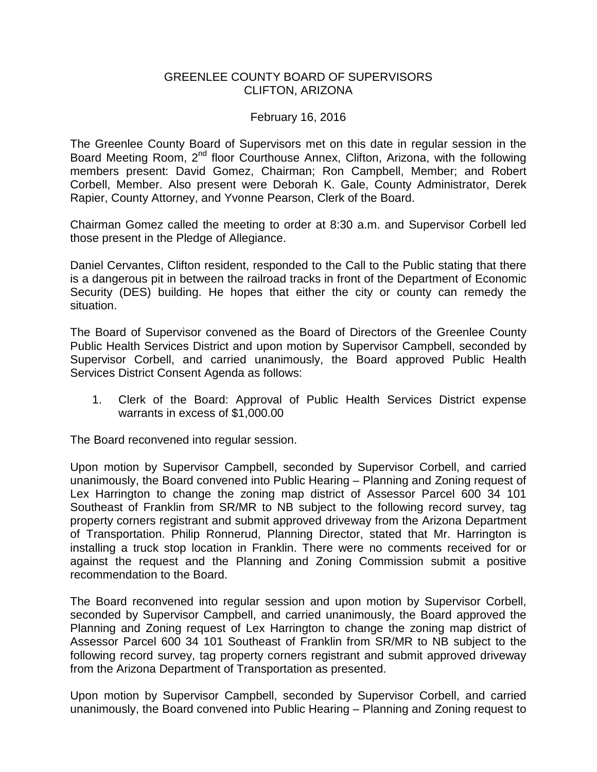## GREENLEE COUNTY BOARD OF SUPERVISORS CLIFTON, ARIZONA

## February 16, 2016

The Greenlee County Board of Supervisors met on this date in regular session in the Board Meeting Room, 2<sup>nd</sup> floor Courthouse Annex, Clifton, Arizona, with the following members present: David Gomez, Chairman; Ron Campbell, Member; and Robert Corbell, Member. Also present were Deborah K. Gale, County Administrator, Derek Rapier, County Attorney, and Yvonne Pearson, Clerk of the Board.

Chairman Gomez called the meeting to order at 8:30 a.m. and Supervisor Corbell led those present in the Pledge of Allegiance.

Daniel Cervantes, Clifton resident, responded to the Call to the Public stating that there is a dangerous pit in between the railroad tracks in front of the Department of Economic Security (DES) building. He hopes that either the city or county can remedy the situation.

The Board of Supervisor convened as the Board of Directors of the Greenlee County Public Health Services District and upon motion by Supervisor Campbell, seconded by Supervisor Corbell, and carried unanimously, the Board approved Public Health Services District Consent Agenda as follows:

1. Clerk of the Board: Approval of Public Health Services District expense warrants in excess of \$1,000.00

The Board reconvened into regular session.

Upon motion by Supervisor Campbell, seconded by Supervisor Corbell, and carried unanimously, the Board convened into Public Hearing – Planning and Zoning request of Lex Harrington to change the zoning map district of Assessor Parcel 600 34 101 Southeast of Franklin from SR/MR to NB subject to the following record survey, tag property corners registrant and submit approved driveway from the Arizona Department of Transportation. Philip Ronnerud, Planning Director, stated that Mr. Harrington is installing a truck stop location in Franklin. There were no comments received for or against the request and the Planning and Zoning Commission submit a positive recommendation to the Board.

The Board reconvened into regular session and upon motion by Supervisor Corbell, seconded by Supervisor Campbell, and carried unanimously, the Board approved the Planning and Zoning request of Lex Harrington to change the zoning map district of Assessor Parcel 600 34 101 Southeast of Franklin from SR/MR to NB subject to the following record survey, tag property corners registrant and submit approved driveway from the Arizona Department of Transportation as presented.

Upon motion by Supervisor Campbell, seconded by Supervisor Corbell, and carried unanimously, the Board convened into Public Hearing – Planning and Zoning request to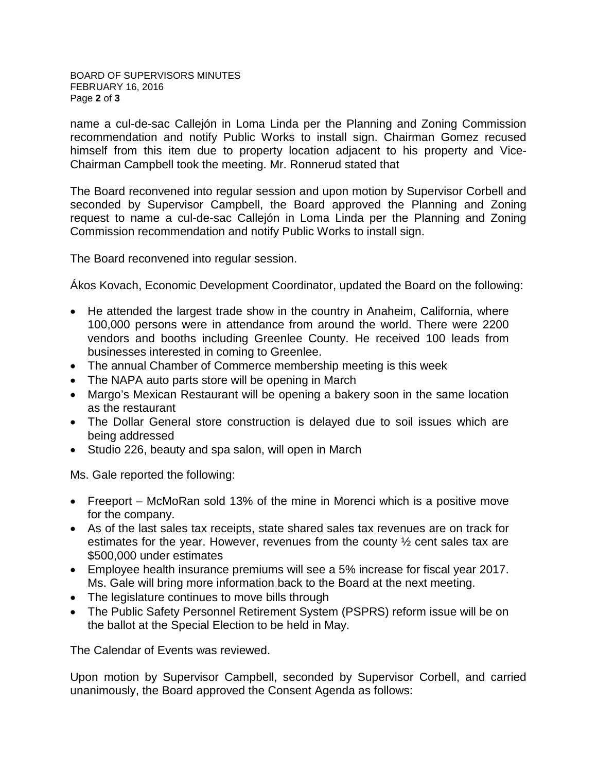name a cul-de-sac Callejón in Loma Linda per the Planning and Zoning Commission recommendation and notify Public Works to install sign. Chairman Gomez recused himself from this item due to property location adjacent to his property and Vice-Chairman Campbell took the meeting. Mr. Ronnerud stated that

The Board reconvened into regular session and upon motion by Supervisor Corbell and seconded by Supervisor Campbell, the Board approved the Planning and Zoning request to name a cul-de-sac Callejón in Loma Linda per the Planning and Zoning Commission recommendation and notify Public Works to install sign.

The Board reconvened into regular session.

Ákos Kovach, Economic Development Coordinator, updated the Board on the following:

- He attended the largest trade show in the country in Anaheim, California, where 100,000 persons were in attendance from around the world. There were 2200 vendors and booths including Greenlee County. He received 100 leads from businesses interested in coming to Greenlee.
- The annual Chamber of Commerce membership meeting is this week
- The NAPA auto parts store will be opening in March
- Margo's Mexican Restaurant will be opening a bakery soon in the same location as the restaurant
- The Dollar General store construction is delayed due to soil issues which are being addressed
- Studio 226, beauty and spa salon, will open in March

Ms. Gale reported the following:

- Freeport McMoRan sold 13% of the mine in Morenci which is a positive move for the company.
- As of the last sales tax receipts, state shared sales tax revenues are on track for estimates for the year. However, revenues from the county ½ cent sales tax are \$500,000 under estimates
- Employee health insurance premiums will see a 5% increase for fiscal year 2017. Ms. Gale will bring more information back to the Board at the next meeting.
- The legislature continues to move bills through
- The Public Safety Personnel Retirement System (PSPRS) reform issue will be on the ballot at the Special Election to be held in May.

The Calendar of Events was reviewed.

Upon motion by Supervisor Campbell, seconded by Supervisor Corbell, and carried unanimously, the Board approved the Consent Agenda as follows: